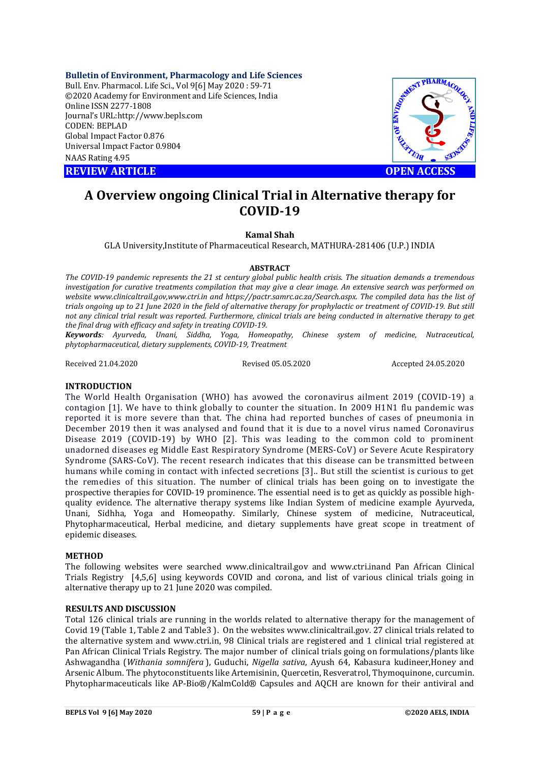**Bulletin of Environment, Pharmacology and Life Sciences** Bull. Env. Pharmacol. Life Sci., Vol 9[6] May 2020 : 59-71 ©2020 Academy for Environment and Life Sciences, India Online ISSN 2277-1808 Journal's URL:<http://www.bepls.com> CODEN: BEPLAD Global Impact Factor 0.876 Universal Impact Factor 0.9804 NAAS Rating 4.95

**REVIEW ARTICLE CONTROLLER WAS ARRESTED FOR ACCESS** 



# **A Overview ongoing Clinical Trial in Alternative therapy for COVID-19**

### **Kamal Shah**

GLA University,Institute of Pharmaceutical Research, MATHURA-281406 (U.P.) INDIA

# **ABSTRACT**

*The COVID-19 pandemic represents the 21 st century global public health crisis. The situation demands a tremendous investigation for curative treatments compilation that may give a clear image. An extensive search was performed on website www.clinicaltrail.gov,www.ctri.in and <https://pactr.samrc.ac.za/Search.aspx.>The compiled data has the list of trials ongoing up to 21 June 2020 in the field of alternative therapy for prophylactic or treatment of COVID-19. But still not any clinical trial result was reported. Furthermore, clinical trials are being conducted in alternative therapy to get the final drug with efficacy and safety in treating COVID-19.*

*Keywords: Ayurveda, Unani, Siddha, Yoga, Homeopathy, Chinese system of medicine, Nutraceutical, phytopharmaceutical, dietary supplements, COVID-19, Treatment*

Received 21.04.2020 Revised 05.05.2020 Accepted 24.05.2020

# **INTRODUCTION**

The World Health Organisation (WHO) has avowed the coronavirus ailment 2019 (COVID-19) a contagion [1]. We have to think globally to counter the situation. In 2009 H1N1 flu pandemic was reported it is more severe than that. The china had reported bunches of cases of pneumonia in December 2019 then it was analysed and found that it is due to a novel virus named Coronavirus Disease 2019 (COVID-19) by WHO [2]. This was leading to the common cold to prominent unadorned diseases eg Middle East Respiratory Syndrome (MERS-CoV) or Severe Acute Respiratory Syndrome (SARS-CoV). The recent research indicates that this disease can be transmitted between humans while coming in contact with infected secretions [3].. But still the scientist is curious to get the remedies of this situation. The number of clinical trials has been going on to investigate the prospective therapies for COVID-19 prominence. The essential need is to get as quickly as possible highquality evidence. The alternative therapy systems like Indian System of medicine example Ayurveda, Unani, Sidhha, Yoga and Homeopathy. Similarly, Chinese system of medicine, Nutraceutical, Phytopharmaceutical, Herbal medicine, and dietary supplements have great scope in treatment of epidemic diseases.

### **METHOD**

The following websites were searched www.clinicaltrail.gov and [www.ctri.inand](http://www.ctri.inand) Pan African Clinical Trials Registry [4,5,6] using keywords COVID and corona, and list of various clinical trials going in alternative therapy up to 21 June 2020 was compiled.

### **RESULTS AND DISCUSSION**

Total 126 clinical trials are running in the worlds related to alternative therapy for the management of Covid 19 (Table 1, Table 2 and Table3 ). On the websites [www.clinicaltrail.gov.](http://www.clinicaltrail.gov.) 27 clinical trials related to the alternative system and [www.ctri.in,](http://www.ctri.in,) 98 Clinical trials are registered and 1 clinical trial registered at Pan African Clinical Trials Registry. The major number of clinical trials going on formulations/plants like Ashwagandha (*Withania somnifera* ), Guduchi, *Nigella sativa*, Ayush 64, Kabasura kudineer,Honey and Arsenic Album. The phytoconstituents like Artemisinin, Quercetin, Resveratrol, Thymoquinone, curcumin. Phytopharmaceuticals like AP-Bio®/KalmCold® Capsules and AQCH are known for their antiviral and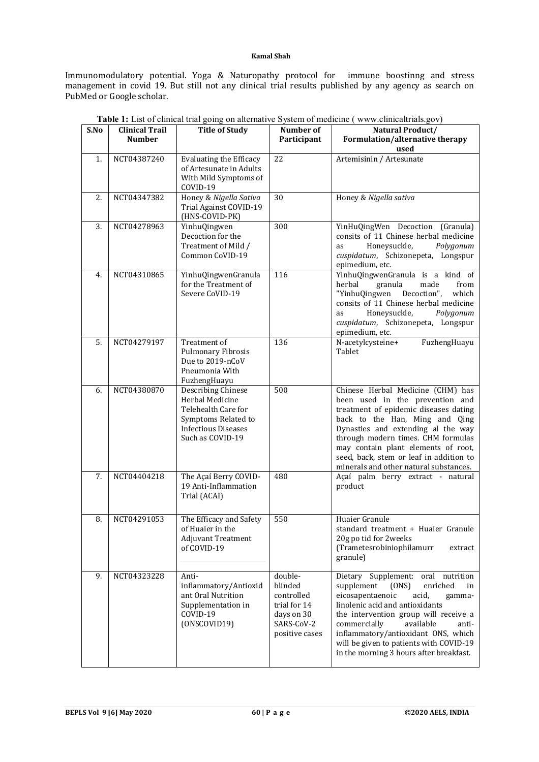Immunomodulatory potential. Yoga & Naturopathy protocol for immune boostinng and stress management in covid 19. But still not any clinical trial results published by any agency as search on PubMed or Google scholar.

| S.No | <b>Clinical Trail</b> | <b>Title of Study</b>                                                                                                                        | Number of                                                                                      | $\ldots$<br>Natural Product/                                                                                                                                                                                                                                                                                                                                         |
|------|-----------------------|----------------------------------------------------------------------------------------------------------------------------------------------|------------------------------------------------------------------------------------------------|----------------------------------------------------------------------------------------------------------------------------------------------------------------------------------------------------------------------------------------------------------------------------------------------------------------------------------------------------------------------|
|      | <b>Number</b>         |                                                                                                                                              | Participant                                                                                    | Formulation/alternative therapy<br>used                                                                                                                                                                                                                                                                                                                              |
| 1.   | NCT04387240           | <b>Evaluating the Efficacy</b><br>of Artesunate in Adults<br>With Mild Symptoms of<br>COVID-19                                               | 22                                                                                             | Artemisinin / Artesunate                                                                                                                                                                                                                                                                                                                                             |
| 2.   | NCT04347382           | Honey & Nigella Sativa<br>Trial Against COVID-19<br>(HNS-COVID-PK)                                                                           | 30                                                                                             | Honey & Nigella sativa                                                                                                                                                                                                                                                                                                                                               |
| 3.   | NCT04278963           | YinhuQingwen<br>Decoction for the<br>Treatment of Mild /<br>Common CoVID-19                                                                  | 300                                                                                            | YinHuQingWen Decoction (Granula)<br>consits of 11 Chinese herbal medicine<br>Honeysuckle,<br>Polygonum<br>as<br>cuspidatum, Schizonepeta, Longspur<br>epimedium, etc.                                                                                                                                                                                                |
| 4.   | NCT04310865           | YinhuQingwenGranula<br>for the Treatment of<br>Severe CoVID-19                                                                               | 116                                                                                            | YinhuQingwenGranula is a kind of<br>herbal<br>granula<br>made<br>from<br>"YinhuQingwen Decoction",<br>which<br>consits of 11 Chinese herbal medicine<br>Honeysuckle,<br>Polygonum<br>as<br>cuspidatum, Schizonepeta, Longspur<br>epimedium, etc.                                                                                                                     |
| 5.   | NCT04279197           | Treatment of<br><b>Pulmonary Fibrosis</b><br>Due to 2019-nCoV<br>Pneumonia With<br>FuzhengHuayu                                              | 136                                                                                            | FuzhengHuayu<br>N-acetylcysteine+<br>Tablet                                                                                                                                                                                                                                                                                                                          |
| 6.   | NCT04380870           | <b>Describing Chinese</b><br>Herbal Medicine<br>Telehealth Care for<br>Symptoms Related to<br><b>Infectious Diseases</b><br>Such as COVID-19 | 500                                                                                            | Chinese Herbal Medicine (CHM) has<br>been used in the prevention and<br>treatment of epidemic diseases dating<br>back to the Han, Ming and Qing<br>Dynasties and extending al the way<br>through modern times. CHM formulas<br>may contain plant elements of root,<br>seed, back, stem or leaf in addition to<br>minerals and other natural substances.              |
| 7.   | NCT04404218           | The Açaí Berry COVID-<br>19 Anti-Inflammation<br>Trial (ACAI)                                                                                | 480                                                                                            | Açaí palm berry extract - natural<br>product                                                                                                                                                                                                                                                                                                                         |
| 8.   | NCT04291053           | The Efficacy and Safety<br>of Huaier in the<br><b>Adjuvant Treatment</b><br>of COVID-19                                                      | 550                                                                                            | Huaier Granule<br>standard treatment + Huaier Granule<br>20g po tid for 2weeks<br>(Trametesrobiniophilamurr<br>extract<br>granule)                                                                                                                                                                                                                                   |
| 9.   | NCT04323228           | Anti-<br>inflammatory/Antioxid<br>ant Oral Nutrition<br>Supplementation in<br>COVID-19<br>(ONSCOVID19)                                       | double-<br>blinded<br>controlled<br>trial for 14<br>days on 30<br>SARS-CoV-2<br>positive cases | Dietary Supplement: oral<br>nutrition<br>supplement<br>(ONS)<br>enriched<br>in<br>eicosapentaenoic<br>acid,<br>gamma-<br>linolenic acid and antioxidants<br>the intervention group will receive a<br>commercially<br>available<br>anti-<br>inflammatory/antioxidant ONS, which<br>will be given to patients with COVID-19<br>in the morning 3 hours after breakfast. |

|  | Table 1: List of clinical trial going on alternative System of medicine (www.clinicaltrials.gov) |  |  |  |
|--|--------------------------------------------------------------------------------------------------|--|--|--|
|--|--------------------------------------------------------------------------------------------------|--|--|--|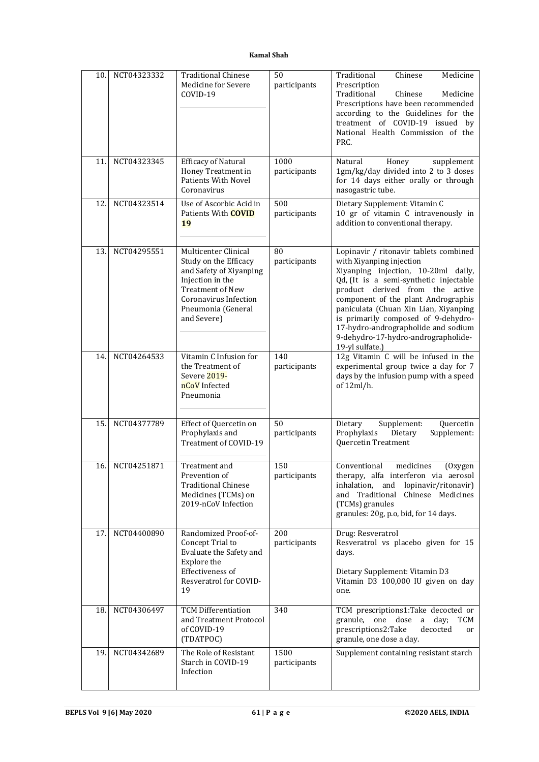| 10. | NCT04323332 | <b>Traditional Chinese</b><br>Medicine for Severe<br>COVID-19                                                                                                                         | 50<br>participants   | Traditional<br>Chinese<br>Medicine<br>Prescription<br>Traditional<br>Chinese<br>Medicine<br>Prescriptions have been recommended<br>according to the Guidelines for the<br>treatment of COVID-19 issued by<br>National Health Commission of the<br>PRC.                                                                                                                                                         |
|-----|-------------|---------------------------------------------------------------------------------------------------------------------------------------------------------------------------------------|----------------------|----------------------------------------------------------------------------------------------------------------------------------------------------------------------------------------------------------------------------------------------------------------------------------------------------------------------------------------------------------------------------------------------------------------|
| 11. | NCT04323345 | Efficacy of Natural<br>Honey Treatment in<br>Patients With Novel<br>Coronavirus                                                                                                       | 1000<br>participants | Honey<br>supplement<br>Natural<br>1gm/kg/day divided into 2 to 3 doses<br>for 14 days either orally or through<br>nasogastric tube.                                                                                                                                                                                                                                                                            |
| 12. | NCT04323514 | Use of Ascorbic Acid in<br>Patients With <b>COVID</b><br>19                                                                                                                           | 500<br>participants  | Dietary Supplement: Vitamin C<br>10 gr of vitamin C intravenously in<br>addition to conventional therapy.                                                                                                                                                                                                                                                                                                      |
| 13. | NCT04295551 | Multicenter Clinical<br>Study on the Efficacy<br>and Safety of Xiyanping<br>Injection in the<br><b>Treatment of New</b><br>Coronavirus Infection<br>Pneumonia (General<br>and Severe) | 80<br>participants   | Lopinavir / ritonavir tablets combined<br>with Xiyanping injection<br>Xiyanping injection, 10-20ml daily,<br>Qd, (It is a semi-synthetic injectable<br>product derived from the active<br>component of the plant Andrographis<br>paniculata (Chuan Xin Lian, Xiyanping<br>is primarily composed of 9-dehydro-<br>17-hydro-andrographolide and sodium<br>9-dehydro-17-hydro-andrographolide-<br>19-yl sulfate.) |
| 14. | NCT04264533 | Vitamin C Infusion for<br>the Treatment of<br>Severe 2019-<br>nCoV Infected<br>Pneumonia                                                                                              | 140<br>participants  | 12g Vitamin C will be infused in the<br>experimental group twice a day for 7<br>days by the infusion pump with a speed<br>of 12ml/h.                                                                                                                                                                                                                                                                           |
| 15. | NCT04377789 | Effect of Quercetin on<br>Prophylaxis and<br>Treatment of COVID-19                                                                                                                    | 50<br>participants   | Dietary<br>Supplement:<br>Quercetin<br>Prophylaxis<br>Supplement:<br>Dietary<br>Quercetin Treatment                                                                                                                                                                                                                                                                                                            |
| 16. | NCT04251871 | Treatment and<br>Prevention of<br><b>Traditional Chinese</b><br>Medicines (TCMs) on<br>2019-nCoV Infection                                                                            | 150<br>participants  | Conventional<br>medicines<br>(Oxygen<br>therapy, alfa interferon via aerosol<br>inhalation, and lopinavir/ritonavir)<br>and Traditional Chinese Medicines<br>(TCMs) granules<br>granules: 20g, p.o, bid, for 14 days.                                                                                                                                                                                          |
| 17. | NCT04400890 | Randomized Proof-of-<br>Concept Trial to<br>Evaluate the Safety and<br>Explore the<br>Effectiveness of<br>Resveratrol for COVID-<br>19                                                | 200<br>participants  | Drug: Resveratrol<br>Resveratrol vs placebo given for 15<br>days.<br>Dietary Supplement: Vitamin D3<br>Vitamin D3 100,000 IU given on day<br>one.                                                                                                                                                                                                                                                              |
| 18. | NCT04306497 | <b>TCM Differentiation</b><br>and Treatment Protocol<br>of COVID-19<br>(TDATPOC)                                                                                                      | 340                  | TCM prescriptions1:Take decocted or<br>granule,<br>one dose<br>day;<br><b>TCM</b><br>a<br>prescriptions2:Take<br>decocted<br>or<br>granule, one dose a day.                                                                                                                                                                                                                                                    |
| 19. | NCT04342689 | The Role of Resistant<br>Starch in COVID-19<br>Infection                                                                                                                              | 1500<br>participants | Supplement containing resistant starch                                                                                                                                                                                                                                                                                                                                                                         |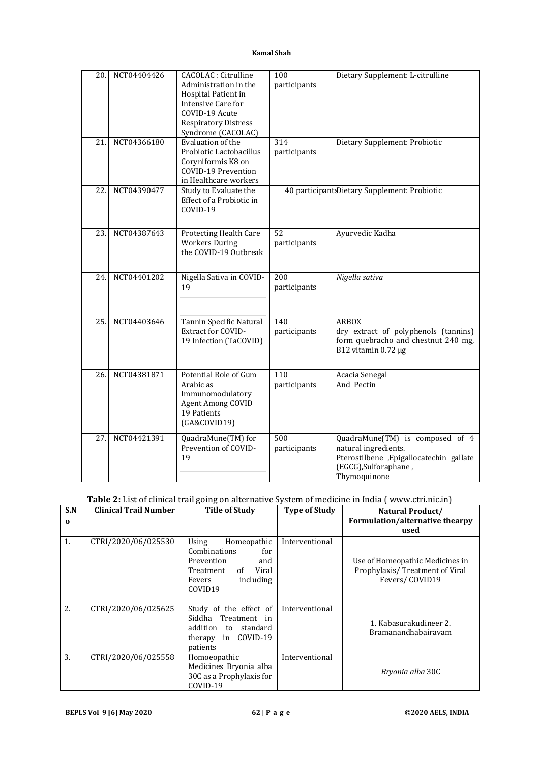| 20. | NCT04404426 | <b>CACOLAC</b> : Citrulline<br>Administration in the<br>Hospital Patient in<br>Intensive Care for<br>COVID-19 Acute<br><b>Respiratory Distress</b><br>Syndrome (CACOLAC) | 100<br>participants | Dietary Supplement: L-citrulline                                                                                                            |
|-----|-------------|--------------------------------------------------------------------------------------------------------------------------------------------------------------------------|---------------------|---------------------------------------------------------------------------------------------------------------------------------------------|
| 21. | NCT04366180 | Evaluation of the<br>Probiotic Lactobacillus<br>Coryniformis K8 on<br><b>COVID-19 Prevention</b><br>in Healthcare workers                                                | 314<br>participants | Dietary Supplement: Probiotic                                                                                                               |
| 22. | NCT04390477 | Study to Evaluate the<br>Effect of a Probiotic in<br>COVID-19                                                                                                            |                     | 40 participantsDietary Supplement: Probiotic                                                                                                |
| 23. | NCT04387643 | Protecting Health Care<br><b>Workers During</b><br>the COVID-19 Outbreak                                                                                                 | 52<br>participants  | Ayurvedic Kadha                                                                                                                             |
| 24. | NCT04401202 | Nigella Sativa in COVID-<br>19                                                                                                                                           | 200<br>participants | Nigella sativa                                                                                                                              |
| 25. | NCT04403646 | Tannin Specific Natural<br><b>Extract for COVID-</b><br>19 Infection (TaCOVID)                                                                                           | 140<br>participants | <b>ARBOX</b><br>dry extract of polyphenols (tannins)<br>form quebracho and chestnut 240 mg,<br>B12 vitamin 0.72 µg                          |
| 26. | NCT04381871 | Potential Role of Gum<br>Arabic as<br>Immunomodulatory<br><b>Agent Among COVID</b><br>19 Patients<br>(GA&COVID19)                                                        | 110<br>participants | Acacia Senegal<br>And Pectin                                                                                                                |
| 27. | NCT04421391 | QuadraMune(TM) for<br>Prevention of COVID-<br>19                                                                                                                         | 500<br>participants | QuadraMune(TM) is composed of 4<br>natural ingredients.<br>Pterostilbene ,Epigallocatechin gallate<br>(EGCG), Sulforaphane,<br>Thymoquinone |

# **Table 2:** List of clinical trail going on alternative System of medicine in India ( [www.ctri.nic.in\)](http://www.ctri.nic.in))

| S.N<br>$\Omega$ | <b>Clinical Trail Number</b> | <b>Title of Study</b>                                                                                                                      | <b>Type of Study</b> | Natural Product/<br>Formulation/alternative thearpy<br>used                         |
|-----------------|------------------------------|--------------------------------------------------------------------------------------------------------------------------------------------|----------------------|-------------------------------------------------------------------------------------|
| 1.              | CTRI/2020/06/025530          | Using<br>Homeopathic<br>Combinations<br>for<br>Prevention<br>and<br>Viral<br>Treatment<br>of<br>including<br>Fevers<br>COVID <sub>19</sub> | Interventional       | Use of Homeopathic Medicines in<br>Prophylaxis/Treatment of Viral<br>Fevers/COVID19 |
| 2.              | CTRI/2020/06/025625          | Study of the effect of<br>Siddha Treatment in<br>addition to standard<br>therapy in COVID-19<br>patients                                   | Interventional       | 1. Kabasurakudineer 2.<br>Bramanandhabairavam                                       |
| 3.              | CTRI/2020/06/025558          | Homoeopathic<br>Medicines Bryonia alba<br>30C as a Prophylaxis for<br>COVID-19                                                             | Interventional       | Bryonia alba 30C                                                                    |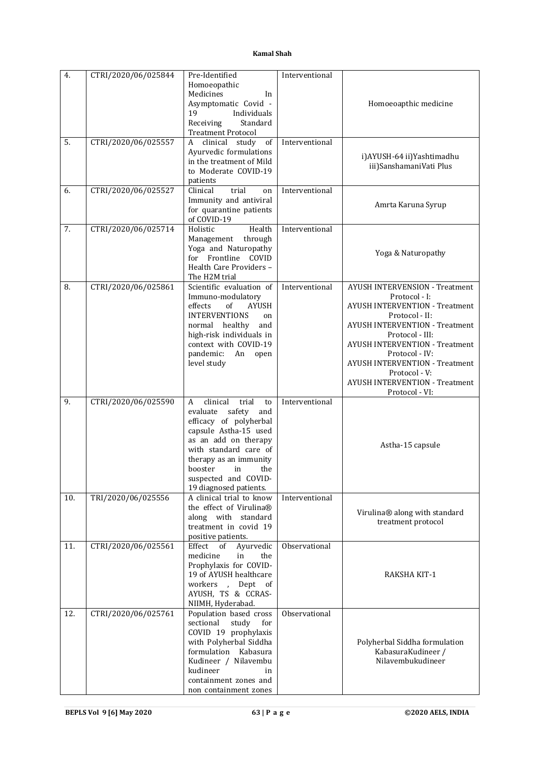| 4.  | CTRI/2020/06/025844 | Pre-Identified                                         | Interventional |                                                          |
|-----|---------------------|--------------------------------------------------------|----------------|----------------------------------------------------------|
|     |                     | Homoeopathic<br>Medicines                              |                |                                                          |
|     |                     | In<br>Asymptomatic Covid -                             |                | Homoeoapthic medicine                                    |
|     |                     | 19<br>Individuals                                      |                |                                                          |
|     |                     | Receiving<br>Standard                                  |                |                                                          |
| 5.  | CTRI/2020/06/025557 | <b>Treatment Protocol</b><br>of<br>clinical study<br>A | Interventional |                                                          |
|     |                     | Ayurvedic formulations                                 |                |                                                          |
|     |                     | in the treatment of Mild                               |                | i)AYUSH-64 ii)Yashtimadhu<br>iii)SanshamaniVati Plus     |
|     |                     | to Moderate COVID-19                                   |                |                                                          |
| 6.  | CTRI/2020/06/025527 | patients<br>trial<br>Clinical<br>on                    | Interventional |                                                          |
|     |                     | Immunity and antiviral                                 |                |                                                          |
|     |                     | for quarantine patients                                |                | Amrta Karuna Syrup                                       |
|     |                     | of COVID-19                                            |                |                                                          |
| 7.  | CTRI/2020/06/025714 | Health<br>Holistic                                     | Interventional |                                                          |
|     |                     | through<br>Management<br>Yoga and Naturopathy          |                |                                                          |
|     |                     | for Frontline<br>COVID                                 |                | Yoga & Naturopathy                                       |
|     |                     | Health Care Providers -                                |                |                                                          |
|     |                     | The H2M trial<br>Scientific evaluation of              | Interventional | <b>AYUSH INTERVENSION - Treatment</b>                    |
| 8.  | CTRI/2020/06/025861 | Immuno-modulatory                                      |                | Protocol - I:                                            |
|     |                     | of<br><b>AYUSH</b><br>effects                          |                | <b>AYUSH INTERVENTION - Treatment</b>                    |
|     |                     | <b>INTERVENTIONS</b><br>on                             |                | Protocol - II:                                           |
|     |                     | normal healthy<br>and<br>high-risk individuals in      |                | <b>AYUSH INTERVENTION - Treatment</b><br>Protocol - III: |
|     |                     | context with COVID-19                                  |                | <b>AYUSH INTERVENTION - Treatment</b>                    |
|     |                     | pandemic:<br>An<br>open                                |                | Protocol - IV:                                           |
|     |                     | level study                                            |                | <b>AYUSH INTERVENTION - Treatment</b>                    |
|     |                     |                                                        |                | Protocol - V:<br><b>AYUSH INTERVENTION - Treatment</b>   |
|     |                     |                                                        |                | Protocol - VI:                                           |
| 9.  | CTRI/2020/06/025590 | clinical<br>A<br>trial<br>to                           | Interventional |                                                          |
|     |                     | safety<br>evaluate<br>and<br>efficacy of polyherbal    |                |                                                          |
|     |                     | capsule Astha-15 used                                  |                |                                                          |
|     |                     | as an add on therapy                                   |                | Astha-15 capsule                                         |
|     |                     | with standard care of                                  |                |                                                          |
|     |                     | therapy as an immunity<br>the<br>booster<br>in         |                |                                                          |
|     |                     | suspected and COVID-                                   |                |                                                          |
|     |                     | 19 diagnosed patients.                                 |                |                                                          |
| 10. | TRI/2020/06/025556  | A clinical trial to know<br>the effect of Virulina®    | Interventional |                                                          |
|     |                     | along with standard                                    |                | Virulina® along with standard                            |
|     |                     | treatment in covid 19                                  |                | treatment protocol                                       |
|     |                     | positive patients.                                     |                |                                                          |
| 11. | CTRI/2020/06/025561 | Ayurvedic<br>Effect<br>of<br>medicine<br>in<br>the     | Observational  |                                                          |
|     |                     | Prophylaxis for COVID-                                 |                |                                                          |
|     |                     | 19 of AYUSH healthcare                                 |                | RAKSHA KIT-1                                             |
|     |                     | workers,<br>Dept<br>0f                                 |                |                                                          |
|     |                     | AYUSH, TS & CCRAS-<br>NIIMH, Hyderabad.                |                |                                                          |
| 12. | CTRI/2020/06/025761 | Population based cross                                 | Observational  |                                                          |
|     |                     | sectional<br>study<br>for                              |                |                                                          |
|     |                     | COVID 19 prophylaxis<br>with Polyherbal Siddha         |                | Polyherbal Siddha formulation                            |
|     |                     | formulation Kabasura                                   |                | KabasuraKudineer /                                       |
|     |                     | Kudineer / Nilavembu                                   |                | Nilavembukudineer                                        |
|     |                     | kudineer<br>in                                         |                |                                                          |
|     |                     | containment zones and                                  |                |                                                          |
|     |                     | non containment zones                                  |                |                                                          |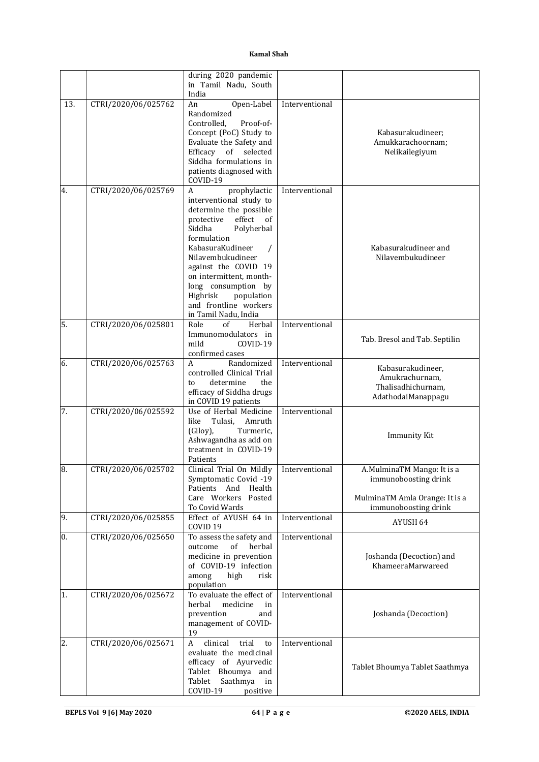|     |                     | during 2020 pandemic<br>in Tamil Nadu, South<br>India                                                                                                                                                                                                                                                                                     |                |                                                                                                              |
|-----|---------------------|-------------------------------------------------------------------------------------------------------------------------------------------------------------------------------------------------------------------------------------------------------------------------------------------------------------------------------------------|----------------|--------------------------------------------------------------------------------------------------------------|
| 13. | CTRI/2020/06/025762 | Open-Label<br>An<br>Randomized<br>Controlled,<br>Proof-of-<br>Concept (PoC) Study to<br>Evaluate the Safety and<br>Efficacy<br>$% \left( \left( \mathcal{A},\mathcal{A}\right) \right) =\left( \mathcal{A},\mathcal{A}\right)$ of<br>selected<br>Siddha formulations in<br>patients diagnosed with<br>COVID-19                            | Interventional | Kabasurakudineer;<br>Amukkarachoornam;<br>Nelikailegiyum                                                     |
| 4.  | CTRI/2020/06/025769 | A<br>prophylactic<br>interventional study to<br>determine the possible<br>effect<br>of<br>protective<br>Siddha<br>Polyherbal<br>formulation<br>KabasuraKudineer<br>Nilavembukudineer<br>against the COVID 19<br>on intermittent, month-<br>long consumption by<br>Highrisk<br>population<br>and frontline workers<br>in Tamil Nadu, India | Interventional | Kabasurakudineer and<br>Nilavembukudineer                                                                    |
| 5.  | CTRI/2020/06/025801 | Role<br>Herbal<br>of<br>Immunomodulators in<br>mild<br>COVID-19<br>confirmed cases                                                                                                                                                                                                                                                        | Interventional | Tab. Bresol and Tab. Septilin                                                                                |
| 6.  | CTRI/2020/06/025763 | A<br>Randomized<br>controlled Clinical Trial<br>determine<br>the<br>to<br>efficacy of Siddha drugs<br>in COVID 19 patients                                                                                                                                                                                                                | Interventional | Kabasurakudineer,<br>Amukrachurnam,<br>Thalisadhichurnam,<br>AdathodaiManappagu                              |
| 7.  | CTRI/2020/06/025592 | Use of Herbal Medicine<br>like<br>Tulasi,<br>Amruth<br>(Giloy),<br>Turmeric,<br>Ashwagandha as add on<br>treatment in COVID-19<br>Patients                                                                                                                                                                                                | Interventional | <b>Immunity Kit</b>                                                                                          |
| 8.  | CTRI/2020/06/025702 | Clinical Trial On Mildly<br>Symptomatic Covid -19<br>Patients And<br>Health<br>Care Workers Posted<br>To Covid Wards                                                                                                                                                                                                                      | Interventional | A.MulminaTM Mango: It is a<br>immunoboosting drink<br>MulminaTM Amla Orange: It is a<br>immunoboosting drink |
| 9.  | CTRI/2020/06/025855 | Effect of AYUSH 64 in<br>COVID <sub>19</sub>                                                                                                                                                                                                                                                                                              | Interventional | AYUSH 64                                                                                                     |
| 0.  | CTRI/2020/06/025650 | To assess the safety and<br>outcome<br>of<br>herbal<br>medicine in prevention<br>of COVID-19 infection<br>among<br>high<br>risk<br>population                                                                                                                                                                                             | Interventional | Joshanda (Decoction) and<br>KhameeraMarwareed                                                                |
| 1.  | CTRI/2020/06/025672 | To evaluate the effect of<br>herbal<br>medicine<br>in<br>prevention<br>and<br>management of COVID-<br>19                                                                                                                                                                                                                                  | Interventional | Joshanda (Decoction)                                                                                         |
| 2.  | CTRI/2020/06/025671 | clinical<br>$\mathbf{A}$<br>trial<br>to<br>evaluate the medicinal<br>efficacy of Ayurvedic<br>Tablet Bhoumya and<br>Saathmya<br>Tablet<br>in<br>COVID-19<br>positive                                                                                                                                                                      | Interventional | Tablet Bhoumya Tablet Saathmya                                                                               |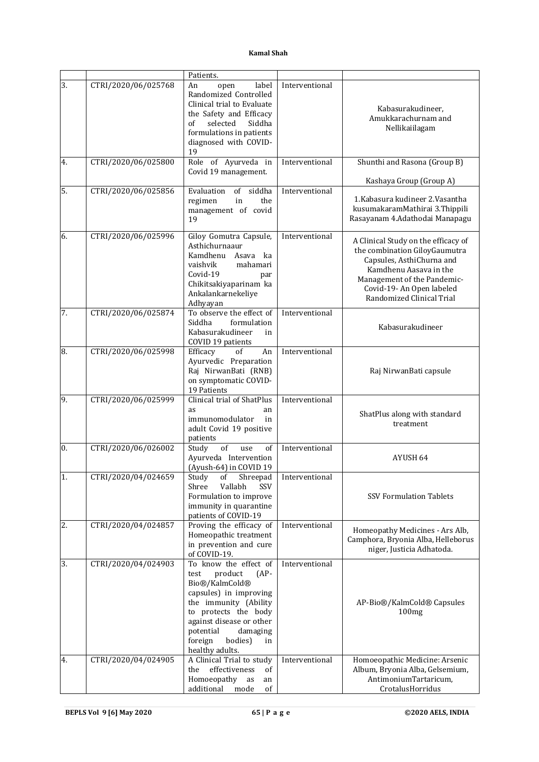|    |                     | Patients.                                                                                                                                                                                                                                            |                |                                                                                                                                                                                                                      |
|----|---------------------|------------------------------------------------------------------------------------------------------------------------------------------------------------------------------------------------------------------------------------------------------|----------------|----------------------------------------------------------------------------------------------------------------------------------------------------------------------------------------------------------------------|
| 3. | CTRI/2020/06/025768 | An<br>label<br>open<br>Randomized Controlled<br>Clinical trial to Evaluate<br>the Safety and Efficacy<br>selected<br>Siddha<br>of<br>formulations in patients<br>diagnosed with COVID-<br>19                                                         | Interventional | Kabasurakudineer,<br>Amukkarachurnam and<br>Nellikaiilagam                                                                                                                                                           |
| 4. | CTRI/2020/06/025800 | Role of Ayurveda in<br>Covid 19 management.                                                                                                                                                                                                          | Interventional | Shunthi and Rasona (Group B)                                                                                                                                                                                         |
|    |                     |                                                                                                                                                                                                                                                      |                | Kashaya Group (Group A)                                                                                                                                                                                              |
| 5. | CTRI/2020/06/025856 | of<br>siddha<br>Evaluation<br>regimen<br>in<br>the<br>management of covid<br>19                                                                                                                                                                      | Interventional | 1. Kabasura kudineer 2. Vasantha<br>kusumakaramMathirai 3.Thippili<br>Rasayanam 4.Adathodai Manapagu                                                                                                                 |
| 6. | CTRI/2020/06/025996 | Giloy Gomutra Capsule,<br>Asthichurnaaur<br>Kamdhenu Asava ka<br>vaishvik<br>mahamari<br>Covid-19<br>par<br>Chikitsakiyaparinam ka<br>Ankalankarnekeliye<br>Adhyayan                                                                                 | Interventional | A Clinical Study on the efficacy of<br>the combination GiloyGaumutra<br>Capsules, AsthiChurna and<br>Kamdhenu Aasava in the<br>Management of the Pandemic-<br>Covid-19- An Open labeled<br>Randomized Clinical Trial |
| 7. | CTRI/2020/06/025874 | To observe the effect of<br>Siddha<br>formulation<br>Kabasurakudineer<br>in<br>COVID 19 patients                                                                                                                                                     | Interventional | Kabasurakudineer                                                                                                                                                                                                     |
| 8. | CTRI/2020/06/025998 | Efficacy<br>of<br>An<br>Ayurvedic Preparation<br>Raj NirwanBati (RNB)<br>on symptomatic COVID-<br>19 Patients                                                                                                                                        | Interventional | Raj NirwanBati capsule                                                                                                                                                                                               |
| 9. | CTRI/2020/06/025999 | Clinical trial of ShatPlus<br>as<br>an<br>immunomodulator<br>in<br>adult Covid 19 positive<br>patients                                                                                                                                               | Interventional | ShatPlus along with standard<br>treatment                                                                                                                                                                            |
| 0. | CTRI/2020/06/026002 | Study<br>of<br>of<br>use<br>Ayurveda Intervention<br>(Ayush-64) in COVID 19                                                                                                                                                                          | Interventional | AYUSH 64                                                                                                                                                                                                             |
| 1. | CTRI/2020/04/024659 | Study<br>Shreepad<br>οt<br>Shree<br>Vallabh<br>SSV<br>Formulation to improve<br>immunity in quarantine<br>patients of COVID-19                                                                                                                       | Interventional | <b>SSV Formulation Tablets</b>                                                                                                                                                                                       |
| 2. | CTRI/2020/04/024857 | Proving the efficacy of<br>Homeopathic treatment<br>in prevention and cure<br>of COVID-19.                                                                                                                                                           | Interventional | Homeopathy Medicines - Ars Alb,<br>Camphora, Bryonia Alba, Helleborus<br>niger, Justicia Adhatoda.                                                                                                                   |
| 3. | CTRI/2020/04/024903 | To know the effect of<br>product<br>test<br>$(AP -$<br>Bio®/KalmCold®<br>capsules) in improving<br>the immunity (Ability<br>to protects the body<br>against disease or other<br>potential<br>damaging<br>foreign<br>bodies)<br>in<br>healthy adults. | Interventional | AP-Bio®/KalmCold® Capsules<br>100mg                                                                                                                                                                                  |
| 4. | CTRI/2020/04/024905 | A Clinical Trial to study<br>the<br>effectiveness<br>of<br>Homoeopathy as<br>an<br>additional<br>mode<br>of                                                                                                                                          | Interventional | Homoeopathic Medicine: Arsenic<br>Album, Bryonia Alba, Gelsemium,<br>AntimoniumTartaricum,<br>CrotalusHorridus                                                                                                       |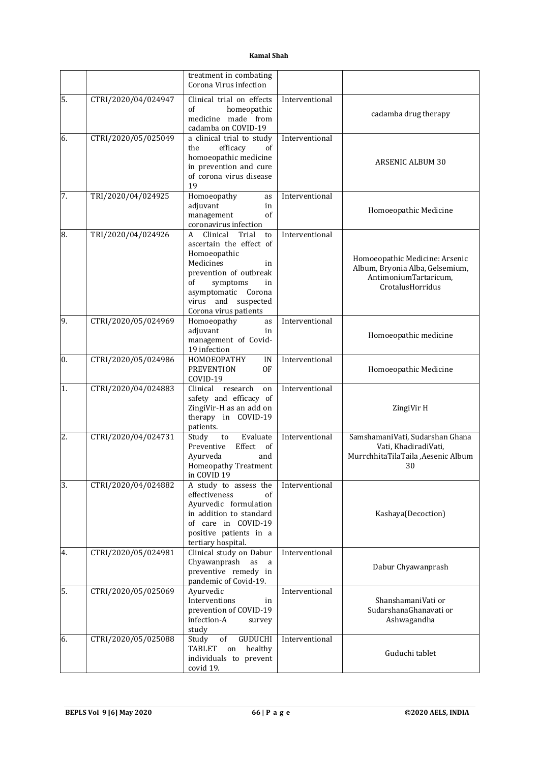|                |                     | treatment in combating<br>Corona Virus infection                                                                                                                                                                       |                |                                                                                                                |
|----------------|---------------------|------------------------------------------------------------------------------------------------------------------------------------------------------------------------------------------------------------------------|----------------|----------------------------------------------------------------------------------------------------------------|
| 5.             | CTRI/2020/04/024947 | Clinical trial on effects<br>of<br>homeopathic<br>medicine made from<br>cadamba on COVID-19                                                                                                                            | Interventional | cadamba drug therapy                                                                                           |
| 6.             | CTRI/2020/05/025049 | a clinical trial to study<br>efficacy<br>the<br>of<br>homoeopathic medicine<br>in prevention and cure<br>of corona virus disease<br>19                                                                                 | Interventional | <b>ARSENIC ALBUM 30</b>                                                                                        |
| 7.             | TRI/2020/04/024925  | Homoeopathy<br>as<br>adjuvant<br>in<br>management<br>of<br>coronavirus infection                                                                                                                                       | Interventional | Homoeopathic Medicine                                                                                          |
| 8.             | TRI/2020/04/024926  | Clinical<br>Trial<br>A<br>to<br>ascertain the effect of<br>Homoeopathic<br>Medicines<br>in<br>prevention of outbreak<br>of<br>symptoms<br>in<br>asymptomatic Corona<br>virus and<br>suspected<br>Corona virus patients | Interventional | Homoeopathic Medicine: Arsenic<br>Album, Bryonia Alba, Gelsemium,<br>AntimoniumTartaricum,<br>CrotalusHorridus |
| 9.             | CTRI/2020/05/024969 | Homoeopathy<br>as<br>adjuvant<br>in<br>management of Covid-<br>19 infection                                                                                                                                            | Interventional | Homoeopathic medicine                                                                                          |
| 0.             | CTRI/2020/05/024986 | HOMOEOPATHY<br>IN<br><b>PREVENTION</b><br><b>OF</b><br>COVID-19                                                                                                                                                        | Interventional | Homoeopathic Medicine                                                                                          |
| $\mathbf{1}$ . | CTRI/2020/04/024883 | Clinical<br>research<br>on<br>safety and efficacy of<br>ZingiVir-H as an add on<br>therapy in COVID-19<br>patients.                                                                                                    | Interventional | ZingiVir H                                                                                                     |
| $\cdot$ 2.     | CTRI/2020/04/024731 | Study<br>Evaluate<br>to<br>of<br>Preventive<br>Effect<br>Ayurveda<br>and<br>Homeopathy Treatment<br>in COVID 19                                                                                                        | Interventional | SamshamaniVati, Sudarshan Ghana<br>Vati, KhadiradiVati,<br>MurrchhitaTilaTaila ,Aesenic Album<br>30            |
| 3.             | CTRI/2020/04/024882 | A study to assess the<br>effectiveness<br>of<br>Ayurvedic formulation<br>in addition to standard<br>of care in COVID-19<br>positive patients in a<br>tertiary hospital.                                                | Interventional | Kashaya(Decoction)                                                                                             |
| 4.             | CTRI/2020/05/024981 | Clinical study on Dabur<br>Chyawanprash<br>as<br>a<br>preventive remedy in<br>pandemic of Covid-19.                                                                                                                    | Interventional | Dabur Chyawanprash                                                                                             |
| 5.             | CTRI/2020/05/025069 | Ayurvedic<br>Interventions<br>in<br>prevention of COVID-19<br>infection-A<br>survey<br>study                                                                                                                           | Interventional | ShanshamaniVati or<br>SudarshanaGhanavati or<br>Ashwagandha                                                    |
| 6.             | CTRI/2020/05/025088 | GUDUCHI<br>of<br>Study<br><b>TABLET</b><br>healthy<br>on<br>individuals to prevent<br>covid 19.                                                                                                                        | Interventional | Guduchi tablet                                                                                                 |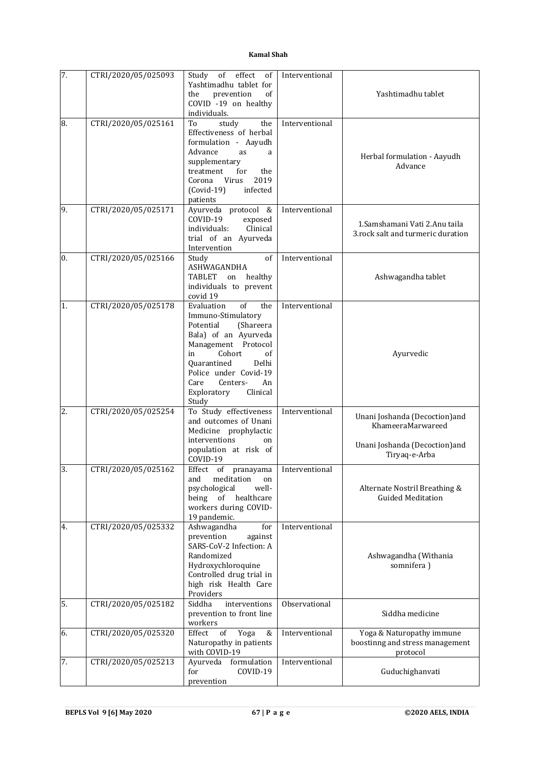| 7.             | CTRI/2020/05/025093 | effect<br>Study<br>of<br>of                  | Interventional |                                   |
|----------------|---------------------|----------------------------------------------|----------------|-----------------------------------|
|                |                     | Yashtimadhu tablet for                       |                |                                   |
|                |                     | prevention<br>the<br>of                      |                | Yashtimadhu tablet                |
|                |                     | COVID -19 on healthy                         |                |                                   |
| 8.             | CTRI/2020/05/025161 | individuals.<br>study<br>To<br>the           | Interventional |                                   |
|                |                     | Effectiveness of herbal                      |                |                                   |
|                |                     | formulation - Aayudh                         |                |                                   |
|                |                     | Advance<br>as<br>a                           |                |                                   |
|                |                     | supplementary                                |                | Herbal formulation - Aayudh       |
|                |                     | treatment<br>for<br>the                      |                | Advance                           |
|                |                     | 2019<br>Virus<br>Corona                      |                |                                   |
|                |                     | $(Covid-19)$<br>infected                     |                |                                   |
|                |                     | patients                                     |                |                                   |
| .9.            | CTRI/2020/05/025171 | Ayurveda protocol &                          | Interventional |                                   |
|                |                     | COVID-19<br>exposed                          |                | 1. Samshamani Vati 2. Anu taila   |
|                |                     | Clinical<br>individuals:                     |                | 3.rock salt and turmeric duration |
|                |                     | trial of an Ayurveda                         |                |                                   |
| $\mathbf{0}$ . | CTRI/2020/05/025166 | Intervention<br>Study<br>of                  | Interventional |                                   |
|                |                     | ASHWAGANDHA                                  |                |                                   |
|                |                     | TABLET<br>healthy<br>on                      |                | Ashwagandha tablet                |
|                |                     | individuals to prevent                       |                |                                   |
|                |                     | covid 19                                     |                |                                   |
| 1.             | CTRI/2020/05/025178 | of<br>Evaluation<br>the                      | Interventional |                                   |
|                |                     | Immuno-Stimulatory                           |                |                                   |
|                |                     | Potential<br>(Shareera                       |                |                                   |
|                |                     | Bala) of an Ayurveda                         |                |                                   |
|                |                     | Management Protocol                          |                |                                   |
|                |                     | Cohort<br>in<br>of<br>Quarantined<br>Delhi   |                | Ayurvedic                         |
|                |                     | Police under Covid-19                        |                |                                   |
|                |                     | Care<br>Centers-<br>An                       |                |                                   |
|                |                     | Clinical<br>Exploratory                      |                |                                   |
|                |                     | Study                                        |                |                                   |
| 2.             | CTRI/2020/05/025254 | To Study effectiveness                       | Interventional | Unani Joshanda (Decoction) and    |
|                |                     | and outcomes of Unani                        |                | KhameeraMarwareed                 |
|                |                     | Medicine prophylactic<br>interventions<br>on |                |                                   |
|                |                     | population at risk of                        |                | Unani Joshanda (Decoction)and     |
|                |                     | COVID-19                                     |                | Tiryaq-e-Arba                     |
| 3.             | CTRI/2020/05/025162 | Effect of<br>pranayama                       | Interventional |                                   |
|                |                     | meditation<br>and<br>on                      |                |                                   |
|                |                     | psychological<br>well-                       |                | Alternate Nostril Breathing &     |
|                |                     | being<br>healthcare<br>of                    |                | <b>Guided Meditation</b>          |
|                |                     | workers during COVID-                        |                |                                   |
|                | CTRI/2020/05/025332 | 19 pandemic.                                 |                |                                   |
| 4.             |                     | Ashwagandha<br>for<br>prevention<br>against  | Interventional |                                   |
|                |                     | SARS-CoV-2 Infection: A                      |                |                                   |
|                |                     | Randomized                                   |                | Ashwagandha (Withania             |
|                |                     | Hydroxychloroquine                           |                | somnifera)                        |
|                |                     | Controlled drug trial in                     |                |                                   |
|                |                     | high risk Health Care                        |                |                                   |
|                |                     | Providers                                    |                |                                   |
| 5.             | CTRI/2020/05/025182 | Siddha<br>interventions                      | Observational  |                                   |
|                |                     | prevention to front line<br>workers          |                | Siddha medicine                   |
| 6.             | CTRI/2020/05/025320 | Yoga<br>Effect<br>of<br>&                    | Interventional | Yoga & Naturopathy immune         |
|                |                     | Naturopathy in patients                      |                | boostinng and stress management   |
|                |                     | with COVID-19                                |                | protocol                          |
| 7.             | CTRI/2020/05/025213 | formulation<br>Ayurveda                      | Interventional |                                   |
|                |                     | COVID-19<br>for                              |                | Guduchighanvati                   |
|                |                     | prevention                                   |                |                                   |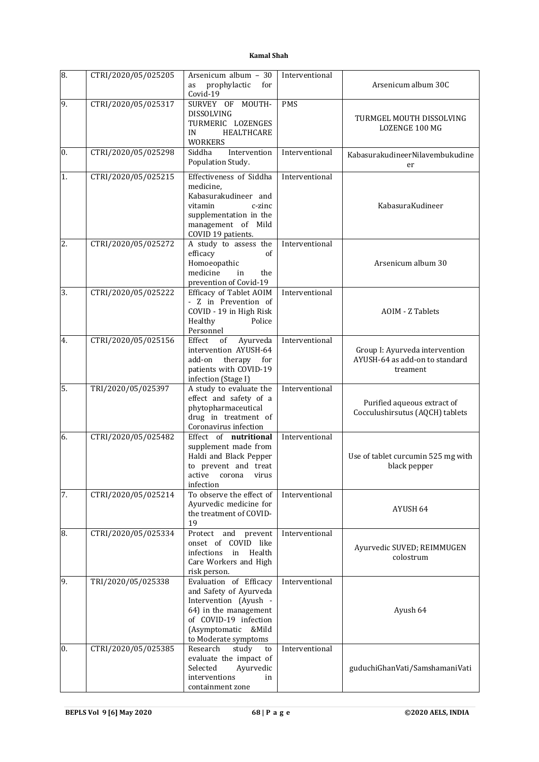| 8.               | CTRI/2020/05/025205 | Arsenicum album - 30<br>prophylactic<br>for<br>as<br>Covid-19                                                                                                              | Interventional | Arsenicum album 30C                                                          |
|------------------|---------------------|----------------------------------------------------------------------------------------------------------------------------------------------------------------------------|----------------|------------------------------------------------------------------------------|
| 9.               | CTRI/2020/05/025317 | SURVEY OF MOUTH-<br>DISSOLVING<br>TURMERIC LOZENGES<br>HEALTHCARE<br>IN<br><b>WORKERS</b>                                                                                  | <b>PMS</b>     | TURMGEL MOUTH DISSOLVING<br><b>LOZENGE 100 MG</b>                            |
| $\overline{0}$ . | CTRI/2020/05/025298 | Siddha<br>Intervention<br>Population Study.                                                                                                                                | Interventional | KabasurakudineerNilavembukudine<br>er                                        |
| 1.               | CTRI/2020/05/025215 | Effectiveness of Siddha<br>medicine,<br>Kabasurakudineer and<br>vitamin<br>c-zinc<br>supplementation in the<br>management of Mild<br>COVID 19 patients.                    | Interventional | KabasuraKudineer                                                             |
| 2.               | CTRI/2020/05/025272 | A study to assess the<br>efficacy<br>of<br>Homoeopathic<br>medicine<br>in<br>the<br>prevention of Covid-19                                                                 | Interventional | Arsenicum album 30                                                           |
| 3.               | CTRI/2020/05/025222 | Efficacy of Tablet AOIM<br>- Z in Prevention of<br>COVID - 19 in High Risk<br>Healthy<br>Police<br>Personnel                                                               | Interventional | <b>AOIM - Z Tablets</b>                                                      |
| 4.               | CTRI/2020/05/025156 | Effect<br>of<br>Ayurveda<br>intervention AYUSH-64<br>add-on<br>therapy for<br>patients with COVID-19<br>infection (Stage I)                                                | Interventional | Group I: Ayurveda intervention<br>AYUSH-64 as add-on to standard<br>treament |
| 5.               | TRI/2020/05/025397  | A study to evaluate the<br>effect and safety of a<br>phytopharmaceutical<br>drug in treatment of<br>Coronavirus infection                                                  | Interventional | Purified aqueous extract of<br>Cocculushirsutus (AQCH) tablets               |
| 6.               | CTRI/2020/05/025482 | Effect of nutritional<br>supplement made from<br>Haldi and Black Pepper<br>to prevent and treat<br>active corona virus<br>infection                                        | Interventional | Use of tablet curcumin 525 mg with<br>black pepper                           |
| 7.               | CTRI/2020/05/025214 | To observe the effect of<br>Ayurvedic medicine for<br>the treatment of COVID-<br>19                                                                                        | Interventional | AYUSH 64                                                                     |
| 8.               | CTRI/2020/05/025334 | Protect and prevent<br>onset of COVID like<br>infections<br>Health<br>in<br>Care Workers and High<br>risk person.                                                          | Interventional | Ayurvedic SUVED; REIMMUGEN<br>colostrum                                      |
| 9.               | TRI/2020/05/025338  | Evaluation of Efficacy<br>and Safety of Ayurveda<br>Intervention (Ayush -<br>64) in the management<br>of COVID-19 infection<br>(Asymptomatic &Mild<br>to Moderate symptoms | Interventional | Ayush 64                                                                     |
| 0.               | CTRI/2020/05/025385 | study<br>Research<br>to<br>evaluate the impact of<br>Selected<br>Ayurvedic<br>interventions<br>in<br>containment zone                                                      | Interventional | guduchiGhanVati/SamshamaniVati                                               |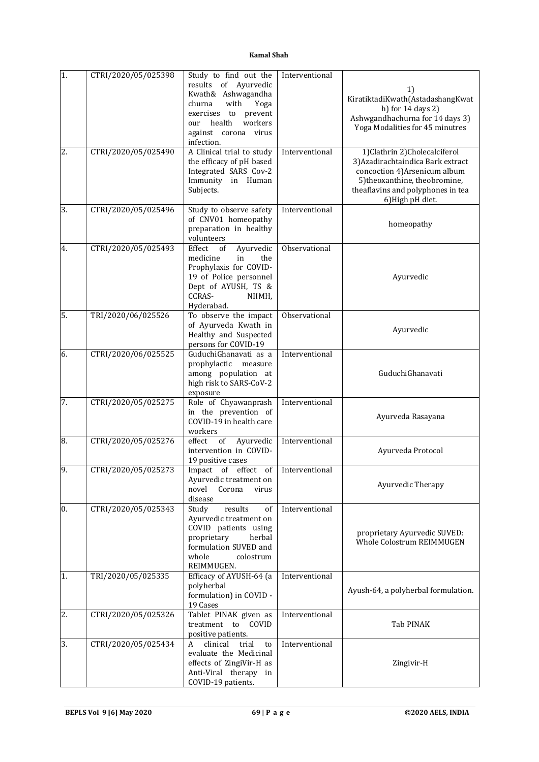| 1. | CTRI/2020/05/025398 | Study to find out the                                  | Interventional |                                                                |
|----|---------------------|--------------------------------------------------------|----------------|----------------------------------------------------------------|
|    |                     | results of Ayurvedic                                   |                | 1)                                                             |
|    |                     | Kwath& Ashwagandha<br>churna<br>with                   |                | KiratiktadiKwath(AstadashangKwat                               |
|    |                     | Yoga<br>exercises to prevent                           |                | h) for 14 days 2)                                              |
|    |                     | workers<br>health<br>our                               |                | Ashwgandhachurna for 14 days 3)                                |
|    |                     | against corona virus                                   |                | Yoga Modalities for 45 minutres                                |
|    |                     | infection.                                             |                |                                                                |
| 2. | CTRI/2020/05/025490 | A Clinical trial to study                              | Interventional | 1) Clathrin 2) Cholecal ciferol                                |
|    |                     | the efficacy of pH based                               |                | 3) Azadirachtaindica Bark extract                              |
|    |                     | Integrated SARS Cov-2<br>Immunity in Human             |                | concoction 4) Arsenicum album<br>5) theoxanthine, theobromine, |
|    |                     | Subjects.                                              |                | theaflavins and polyphones in tea                              |
|    |                     |                                                        |                | 6) High pH diet.                                               |
| 3. | CTRI/2020/05/025496 | Study to observe safety                                | Interventional |                                                                |
|    |                     | of CNV01 homeopathy                                    |                | homeopathy                                                     |
|    |                     | preparation in healthy                                 |                |                                                                |
| 4. | CTRI/2020/05/025493 | volunteers<br>Effect<br>of<br>Ayurvedic                | Observational  |                                                                |
|    |                     | medicine<br>in<br>the                                  |                |                                                                |
|    |                     | Prophylaxis for COVID-                                 |                |                                                                |
|    |                     | 19 of Police personnel                                 |                | Ayurvedic                                                      |
|    |                     | Dept of AYUSH, TS &                                    |                |                                                                |
|    |                     | CCRAS-<br>NIIMH,                                       |                |                                                                |
| 5. | TRI/2020/06/025526  | Hyderabad.<br>To observe the impact                    | Observational  |                                                                |
|    |                     | of Ayurveda Kwath in                                   |                |                                                                |
|    |                     | Healthy and Suspected                                  |                | Ayurvedic                                                      |
|    |                     | persons for COVID-19                                   |                |                                                                |
| 6. | CTRI/2020/06/025525 | GuduchiGhanavati as a                                  | Interventional |                                                                |
|    |                     | prophylactic<br>measure                                |                |                                                                |
|    |                     | among population at                                    |                | GuduchiGhanavati                                               |
|    |                     | high risk to SARS-CoV-2<br>exposure                    |                |                                                                |
| 7. | CTRI/2020/05/025275 | Role of Chyawanprash                                   | Interventional |                                                                |
|    |                     | in the prevention of                                   |                | Ayurveda Rasayana                                              |
|    |                     | COVID-19 in health care                                |                |                                                                |
|    |                     | workers                                                |                |                                                                |
| 8. | CTRI/2020/05/025276 | effect<br>of<br>Ayurvedic<br>intervention in COVID-    | Interventional | Ayurveda Protocol                                              |
|    |                     | 19 positive cases                                      |                |                                                                |
| 9. | CTRI/2020/05/025273 | Impact of effect<br>of                                 | Interventional |                                                                |
|    |                     | Ayurvedic treatment on                                 |                | Ayurvedic Therapy                                              |
|    |                     | novel<br>Corona<br>virus                               |                |                                                                |
|    |                     | disease                                                |                |                                                                |
| 0. | CTRI/2020/05/025343 | of<br>Study<br>results<br>Ayurvedic treatment on       | Interventional |                                                                |
|    |                     | COVID patients using                                   |                |                                                                |
|    |                     | proprietary<br>herbal                                  |                | proprietary Ayurvedic SUVED:                                   |
|    |                     | formulation SUVED and                                  |                | Whole Colostrum REIMMUGEN                                      |
|    |                     | whole<br>colostrum                                     |                |                                                                |
|    |                     | REIMMUGEN.                                             |                |                                                                |
| 1. | TRI/2020/05/025335  | Efficacy of AYUSH-64 (a<br>polyherbal                  | Interventional |                                                                |
|    |                     | formulation) in COVID -                                |                | Ayush-64, a polyherbal formulation.                            |
|    |                     | 19 Cases                                               |                |                                                                |
| 2. | CTRI/2020/05/025326 | Tablet PINAK given as                                  | Interventional |                                                                |
|    |                     | treatment to COVID                                     |                | Tab PINAK                                                      |
|    |                     | positive patients.                                     |                |                                                                |
| 3. | CTRI/2020/05/025434 | A<br>clinical<br>trial<br>to<br>evaluate the Medicinal | Interventional |                                                                |
|    |                     | effects of ZingiVir-H as                               |                | Zingivir-H                                                     |
|    |                     | Anti-Viral therapy in                                  |                |                                                                |
|    |                     | COVID-19 patients.                                     |                |                                                                |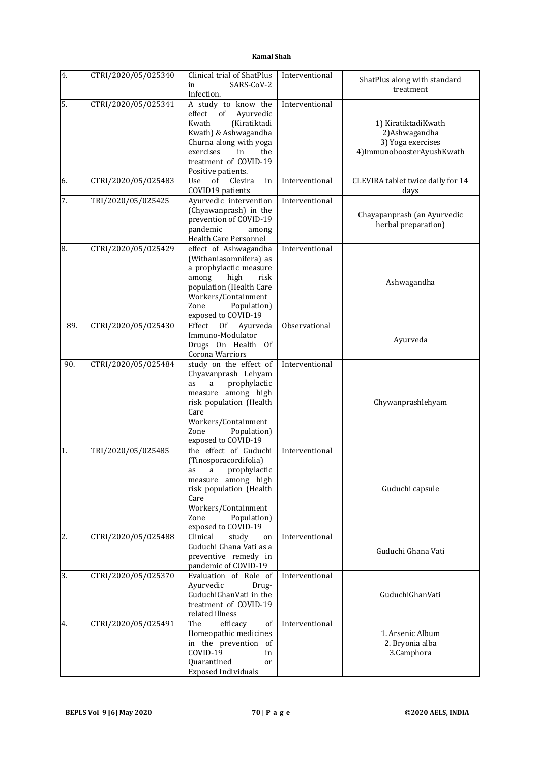| 4.  | CTRI/2020/05/025340 | Clinical trial of ShatPlus<br>SARS-CoV-2<br>in<br>Infection. | Interventional | ShatPlus along with standard<br>treatment |
|-----|---------------------|--------------------------------------------------------------|----------------|-------------------------------------------|
| 5.  | CTRI/2020/05/025341 | A study to know the                                          | Interventional |                                           |
|     |                     | effect<br>of<br>Ayurvedic                                    |                |                                           |
|     |                     | Kwath<br>(Kiratiktadi                                        |                | 1) KiratiktadiKwath                       |
|     |                     | Kwath) & Ashwagandha                                         |                | 2) Ashwagandha                            |
|     |                     | Churna along with yoga                                       |                | 3) Yoga exercises                         |
|     |                     | the<br>exercises<br>in                                       |                | 4)ImmunoboosterAyushKwath                 |
|     |                     | treatment of COVID-19                                        |                |                                           |
|     |                     | Positive patients.                                           |                |                                           |
| 6.  | CTRI/2020/05/025483 | Use<br>of<br>Clevira<br>in                                   | Interventional | CLEVIRA tablet twice daily for 14         |
|     |                     | COVID19 patients                                             |                | days                                      |
| 7.  | TRI/2020/05/025425  | Ayurvedic intervention                                       | Interventional |                                           |
|     |                     | (Chyawanprash) in the                                        |                | Chayapanprash (an Ayurvedic               |
|     |                     | prevention of COVID-19                                       |                | herbal preparation)                       |
|     |                     | pandemic<br>among                                            |                |                                           |
|     |                     | Health Care Personnel                                        |                |                                           |
| 8.  | CTRI/2020/05/025429 | effect of Ashwagandha                                        | Interventional |                                           |
|     |                     | (Withaniasomnifera) as                                       |                |                                           |
|     |                     | a prophylactic measure                                       |                |                                           |
|     |                     | among<br>high<br>risk                                        |                | Ashwagandha                               |
|     |                     | population (Health Care                                      |                |                                           |
|     |                     | Workers/Containment                                          |                |                                           |
|     |                     | Population)<br>Zone                                          |                |                                           |
|     |                     | exposed to COVID-19                                          |                |                                           |
| 89. | CTRI/2020/05/025430 | 0f<br>Effect<br>Ayurveda                                     | Observational  |                                           |
|     |                     | Immuno-Modulator                                             |                | Ayurveda                                  |
|     |                     | Drugs On Health<br>0f                                        |                |                                           |
|     |                     | Corona Warriors                                              |                |                                           |
| 90. | CTRI/2020/05/025484 | study on the effect of                                       | Interventional |                                           |
|     |                     | Chyavanprash Lehyam                                          |                |                                           |
|     |                     | prophylactic<br>as<br>a                                      |                |                                           |
|     |                     | measure among high                                           |                |                                           |
|     |                     | risk population (Health                                      |                | Chywanprashlehyam                         |
|     |                     | Care                                                         |                |                                           |
|     |                     | Workers/Containment                                          |                |                                           |
|     |                     | Population)<br>Zone                                          |                |                                           |
|     |                     | exposed to COVID-19                                          |                |                                           |
| 1.  | TRI/2020/05/025485  | the effect of Guduchi                                        | Interventional |                                           |
|     |                     | (Tinosporacordifolia)                                        |                |                                           |
|     |                     | prophylactic<br>as<br>a                                      |                |                                           |
|     |                     | measure among high                                           |                |                                           |
|     |                     | risk population (Health                                      |                | Guduchi capsule                           |
|     |                     | Care                                                         |                |                                           |
|     |                     | Workers/Containment                                          |                |                                           |
|     |                     | Population)<br>Zone                                          |                |                                           |
|     |                     | exposed to COVID-19                                          |                |                                           |
| 2.  | CTRI/2020/05/025488 | Clinical<br>study<br>on                                      | Interventional |                                           |
|     |                     | Guduchi Ghana Vati as a                                      |                | Guduchi Ghana Vati                        |
|     |                     | preventive remedy in                                         |                |                                           |
| 3.  | CTRI/2020/05/025370 | pandemic of COVID-19<br>Evaluation of Role of                | Interventional |                                           |
|     |                     | Ayurvedic<br>Drug-                                           |                |                                           |
|     |                     | GuduchiGhanVati in the                                       |                | GuduchiGhanVati                           |
|     |                     | treatment of COVID-19                                        |                |                                           |
|     |                     | related illness                                              |                |                                           |
|     | CTRI/2020/05/025491 | The<br>efficacy                                              | Interventional |                                           |
| 4.  |                     | of<br>Homeopathic medicines                                  |                | 1. Arsenic Album                          |
|     |                     | in the prevention of                                         |                | 2. Bryonia alba                           |
|     |                     | COVID-19<br>in                                               |                | 3.Camphora                                |
|     |                     | Quarantined                                                  |                |                                           |
|     |                     | <sub>or</sub><br><b>Exposed Individuals</b>                  |                |                                           |
|     |                     |                                                              |                |                                           |